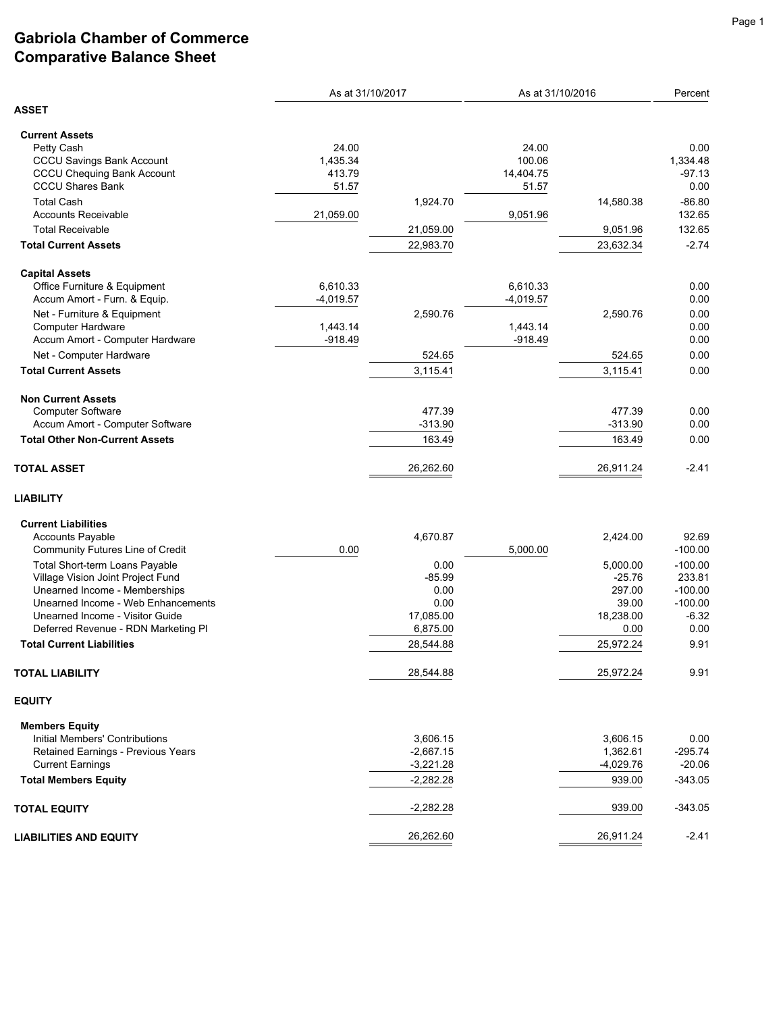## **Gabriola Chamber of Commerce Comparative Balance Sheet**

|                                       | As at 31/10/2017 |             | As at 31/10/2016 |             | Percent   |
|---------------------------------------|------------------|-------------|------------------|-------------|-----------|
| <b>ASSET</b>                          |                  |             |                  |             |           |
| <b>Current Assets</b>                 |                  |             |                  |             |           |
| Petty Cash                            | 24.00            |             | 24.00            |             | 0.00      |
| <b>CCCU Savings Bank Account</b>      | 1,435.34         |             | 100.06           |             | 1,334.48  |
| <b>CCCU Chequing Bank Account</b>     | 413.79           |             | 14,404.75        |             | $-97.13$  |
| <b>CCCU Shares Bank</b>               | 51.57            |             | 51.57            |             | 0.00      |
| <b>Total Cash</b>                     |                  | 1,924.70    |                  | 14,580.38   | $-86.80$  |
| <b>Accounts Receivable</b>            | 21,059.00        |             | 9,051.96         |             | 132.65    |
| <b>Total Receivable</b>               |                  | 21,059.00   |                  | 9,051.96    | 132.65    |
| <b>Total Current Assets</b>           |                  |             |                  |             | $-2.74$   |
|                                       |                  | 22,983.70   |                  | 23,632.34   |           |
| <b>Capital Assets</b>                 |                  |             |                  |             |           |
| Office Furniture & Equipment          | 6,610.33         |             | 6,610.33         |             | 0.00      |
| Accum Amort - Furn. & Equip.          | $-4,019.57$      |             | $-4,019.57$      |             | 0.00      |
| Net - Furniture & Equipment           |                  | 2,590.76    |                  | 2,590.76    | 0.00      |
| <b>Computer Hardware</b>              | 1,443.14         |             | 1,443.14         |             | 0.00      |
| Accum Amort - Computer Hardware       | $-918.49$        |             | $-918.49$        |             | 0.00      |
| Net - Computer Hardware               |                  | 524.65      |                  | 524.65      | 0.00      |
|                                       |                  |             |                  |             |           |
| <b>Total Current Assets</b>           |                  | 3,115.41    |                  | 3,115.41    | 0.00      |
| <b>Non Current Assets</b>             |                  |             |                  |             |           |
| Computer Software                     |                  | 477.39      |                  | 477.39      | 0.00      |
| Accum Amort - Computer Software       |                  | $-313.90$   |                  | $-313.90$   | 0.00      |
| <b>Total Other Non-Current Assets</b> |                  | 163.49      |                  | 163.49      | 0.00      |
| <b>TOTAL ASSET</b>                    |                  | 26,262.60   |                  | 26,911.24   | $-2.41$   |
| <b>LIABILITY</b>                      |                  |             |                  |             |           |
| <b>Current Liabilities</b>            |                  |             |                  |             |           |
| <b>Accounts Payable</b>               |                  | 4,670.87    |                  | 2,424.00    | 92.69     |
| Community Futures Line of Credit      | 0.00             |             | 5,000.00         |             | $-100.00$ |
| Total Short-term Loans Payable        |                  | 0.00        |                  | 5,000.00    | $-100.00$ |
| Village Vision Joint Project Fund     |                  | $-85.99$    |                  | $-25.76$    | 233.81    |
| Unearned Income - Memberships         |                  | 0.00        |                  | 297.00      | $-100.00$ |
| Unearned Income - Web Enhancements    |                  | 0.00        |                  | 39.00       | $-100.00$ |
| Unearned Income - Visitor Guide       |                  | 17,085.00   |                  | 18,238.00   | $-6.32$   |
| Deferred Revenue - RDN Marketing PI   |                  | 6,875.00    |                  | 0.00        | 0.00      |
|                                       |                  |             |                  |             |           |
| <b>Total Current Liabilities</b>      |                  | 28,544.88   |                  | 25,972.24   | 9.91      |
| <b>TOTAL LIABILITY</b>                |                  | 28,544.88   |                  | 25,972.24   | 9.91      |
| <b>EQUITY</b>                         |                  |             |                  |             |           |
| <b>Members Equity</b>                 |                  |             |                  |             |           |
| Initial Members' Contributions        |                  | 3,606.15    |                  | 3,606.15    | 0.00      |
| Retained Earnings - Previous Years    |                  | $-2,667.15$ |                  | 1,362.61    | $-295.74$ |
| <b>Current Earnings</b>               |                  | $-3,221.28$ |                  | $-4,029.76$ | $-20.06$  |
| <b>Total Members Equity</b>           |                  | $-2,282.28$ |                  | 939.00      | $-343.05$ |
| <b>TOTAL EQUITY</b>                   |                  | $-2,282.28$ |                  | 939.00      | $-343.05$ |
| <b>LIABILITIES AND EQUITY</b>         |                  | 26,262.60   |                  | 26,911.24   | $-2.41$   |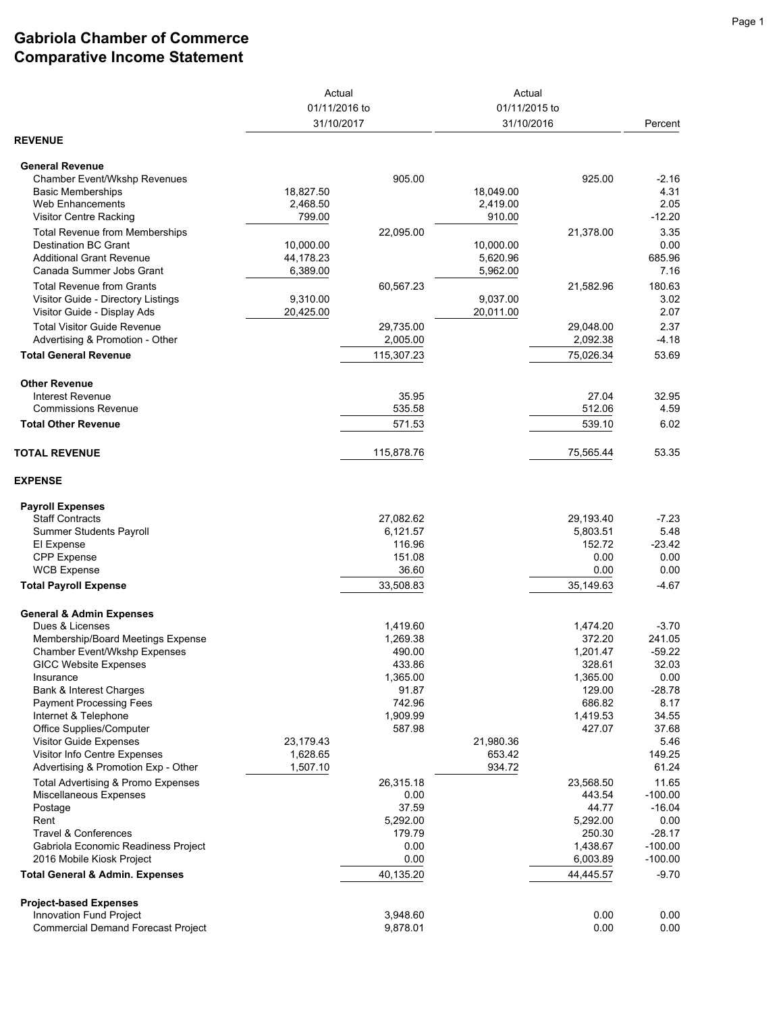## **Gabriola Chamber of Commerce Comparative Income Statement**

|                                                                         | Actual<br>01/11/2016 to<br>31/10/2017 |                   | Actual<br>01/11/2015 to<br>31/10/2016 |                       | Percent              |
|-------------------------------------------------------------------------|---------------------------------------|-------------------|---------------------------------------|-----------------------|----------------------|
|                                                                         |                                       |                   |                                       |                       |                      |
|                                                                         |                                       |                   |                                       |                       |                      |
| <b>REVENUE</b>                                                          |                                       |                   |                                       |                       |                      |
| <b>General Revenue</b>                                                  |                                       |                   |                                       |                       |                      |
| Chamber Event/Wkshp Revenues                                            |                                       | 905.00            |                                       | 925.00                | $-2.16$              |
| <b>Basic Memberships</b>                                                | 18,827.50                             |                   | 18,049.00                             |                       | 4.31                 |
| Web Enhancements                                                        | 2,468.50                              |                   | 2,419.00                              |                       | 2.05                 |
| <b>Visitor Centre Racking</b>                                           | 799.00                                |                   | 910.00                                |                       | $-12.20$             |
| <b>Total Revenue from Memberships</b>                                   |                                       | 22,095.00         |                                       | 21,378.00             | 3.35                 |
| <b>Destination BC Grant</b>                                             | 10,000.00                             |                   | 10,000.00                             |                       | 0.00                 |
| <b>Additional Grant Revenue</b>                                         | 44,178.23                             |                   | 5,620.96                              |                       | 685.96               |
| Canada Summer Jobs Grant                                                | 6,389.00                              |                   | 5,962.00                              |                       | 7.16                 |
| <b>Total Revenue from Grants</b>                                        |                                       | 60,567.23         |                                       | 21,582.96             | 180.63               |
| Visitor Guide - Directory Listings                                      | 9,310.00                              |                   | 9,037.00                              |                       | 3.02                 |
| Visitor Guide - Display Ads                                             | 20,425.00                             |                   | 20,011.00                             |                       | 2.07                 |
| <b>Total Visitor Guide Revenue</b>                                      |                                       | 29,735.00         |                                       | 29,048.00             | 2.37                 |
| Advertising & Promotion - Other                                         |                                       | 2,005.00          |                                       | 2,092.38              | $-4.18$              |
| <b>Total General Revenue</b>                                            |                                       | 115,307.23        |                                       | 75,026.34             | 53.69                |
| <b>Other Revenue</b>                                                    |                                       |                   |                                       |                       |                      |
| Interest Revenue                                                        |                                       | 35.95             |                                       | 27.04                 | 32.95                |
| <b>Commissions Revenue</b>                                              |                                       | 535.58            |                                       | 512.06                | 4.59                 |
| <b>Total Other Revenue</b>                                              |                                       | 571.53            |                                       | 539.10                | 6.02                 |
| <b>TOTAL REVENUE</b>                                                    |                                       | 115,878.76        |                                       | 75,565.44             | 53.35                |
| <b>EXPENSE</b>                                                          |                                       |                   |                                       |                       |                      |
| <b>Payroll Expenses</b>                                                 |                                       |                   |                                       |                       |                      |
| <b>Staff Contracts</b>                                                  |                                       | 27,082.62         |                                       | 29,193.40             | $-7.23$              |
| <b>Summer Students Payroll</b>                                          |                                       | 6,121.57          |                                       | 5,803.51              | 5.48                 |
| El Expense                                                              |                                       | 116.96            |                                       | 152.72                | $-23.42$             |
| <b>CPP</b> Expense                                                      |                                       | 151.08            |                                       | 0.00                  | 0.00                 |
| <b>WCB Expense</b>                                                      |                                       | 36.60             |                                       | 0.00                  | 0.00                 |
| <b>Total Payroll Expense</b>                                            |                                       | 33,508.83         |                                       | 35,149.63             | $-4.67$              |
| <b>General &amp; Admin Expenses</b>                                     |                                       |                   |                                       |                       |                      |
| Dues & Licenses                                                         |                                       | 1,419.60          |                                       | 1,474.20              | $-3.70$              |
| Membership/Board Meetings Expense                                       |                                       | 1,269.38          |                                       | 372.20                | 241.05               |
| Chamber Event/Wkshp Expenses                                            |                                       | 490.00            |                                       | 1,201.47              | $-59.22$             |
| <b>GICC Website Expenses</b>                                            |                                       | 433.86            |                                       | 328.61                | 32.03                |
| Insurance                                                               |                                       | 1,365.00          |                                       | 1,365.00              | 0.00                 |
| Bank & Interest Charges                                                 |                                       | 91.87             |                                       | 129.00                | $-28.78$             |
| <b>Payment Processing Fees</b>                                          |                                       | 742.96            |                                       | 686.82                | 8.17                 |
| Internet & Telephone                                                    |                                       | 1,909.99          |                                       | 1,419.53              | 34.55                |
| Office Supplies/Computer                                                |                                       | 587.98            |                                       | 427.07                | 37.68                |
| <b>Visitor Guide Expenses</b>                                           | 23,179.43                             |                   | 21,980.36                             |                       | 5.46                 |
| Visitor Info Centre Expenses                                            | 1,628.65                              |                   | 653.42                                |                       | 149.25               |
| Advertising & Promotion Exp - Other                                     | 1,507.10                              |                   | 934.72                                |                       | 61.24                |
| Total Advertising & Promo Expenses                                      |                                       | 26,315.18         |                                       | 23,568.50             | 11.65                |
| Miscellaneous Expenses                                                  |                                       | 0.00              |                                       | 443.54                | $-100.00$            |
| Postage                                                                 |                                       | 37.59             |                                       | 44.77                 | $-16.04$             |
| Rent                                                                    |                                       | 5,292.00          |                                       | 5,292.00              | 0.00                 |
| <b>Travel &amp; Conferences</b>                                         |                                       | 179.79            |                                       | 250.30                | $-28.17$             |
| Gabriola Economic Readiness Project                                     |                                       | 0.00              |                                       | 1,438.67              | $-100.00$            |
| 2016 Mobile Kiosk Project<br><b>Total General &amp; Admin. Expenses</b> |                                       | 0.00<br>40,135.20 |                                       | 6,003.89<br>44,445.57 | $-100.00$<br>$-9.70$ |
|                                                                         |                                       |                   |                                       |                       |                      |
| <b>Project-based Expenses</b>                                           |                                       |                   |                                       |                       |                      |
| Innovation Fund Project                                                 |                                       | 3,948.60          |                                       | 0.00                  | 0.00                 |
| <b>Commercial Demand Forecast Project</b>                               |                                       | 9,878.01          |                                       | 0.00                  | 0.00                 |